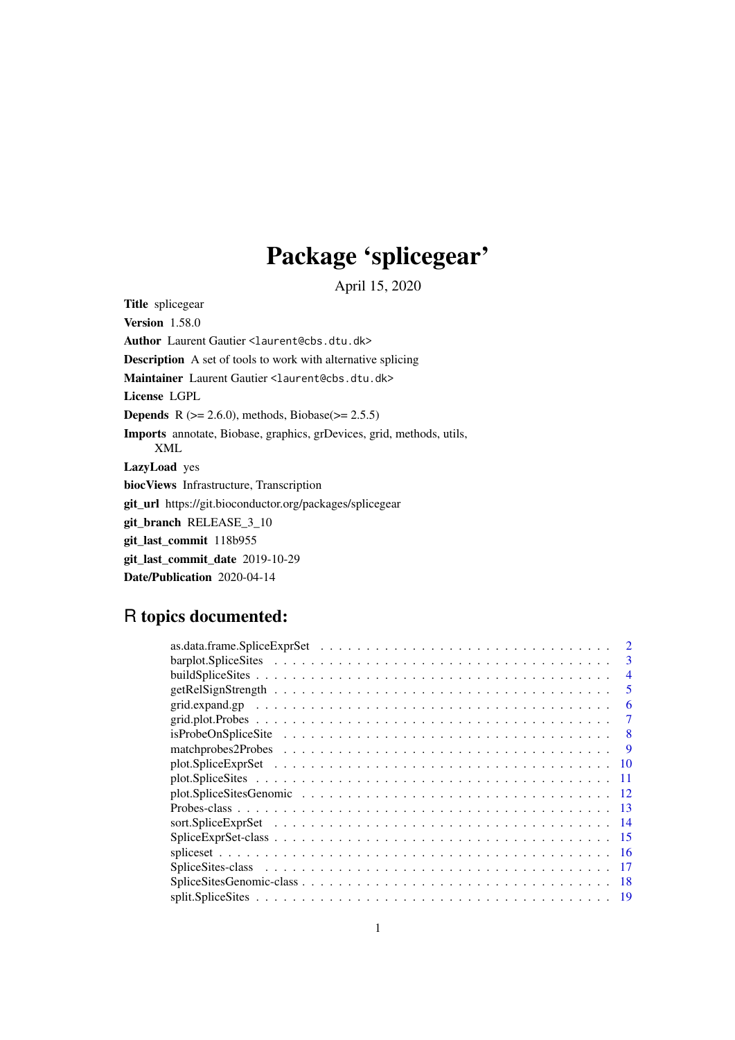# Package 'splicegear'

April 15, 2020

<span id="page-0-0"></span>Title splicegear Version 1.58.0 Author Laurent Gautier <laurent@cbs.dtu.dk> Description A set of tools to work with alternative splicing Maintainer Laurent Gautier <laurent@cbs.dtu.dk> License LGPL **Depends** R  $(>= 2.6.0)$ , methods, Biobase $(>= 2.5.5)$ Imports annotate, Biobase, graphics, grDevices, grid, methods, utils, XML LazyLoad yes biocViews Infrastructure, Transcription git\_url https://git.bioconductor.org/packages/splicegear git\_branch RELEASE\_3\_10 git\_last\_commit 118b955 git\_last\_commit\_date 2019-10-29 Date/Publication 2020-04-14

# R topics documented:

| 3                                                                                                                        |
|--------------------------------------------------------------------------------------------------------------------------|
| 4                                                                                                                        |
| 5                                                                                                                        |
| 6                                                                                                                        |
|                                                                                                                          |
| $is ProbeOnSpline Site \ldots \ldots \ldots \ldots \ldots \ldots \ldots \ldots \ldots \ldots \ldots$<br>8                |
| matchprobes $2$ Probes $\ldots \ldots \ldots \ldots \ldots \ldots \ldots \ldots \ldots \ldots \ldots \ldots \ldots$<br>9 |
| 10                                                                                                                       |
|                                                                                                                          |
|                                                                                                                          |
| 13                                                                                                                       |
|                                                                                                                          |
| -15                                                                                                                      |
| -16                                                                                                                      |
|                                                                                                                          |
|                                                                                                                          |
|                                                                                                                          |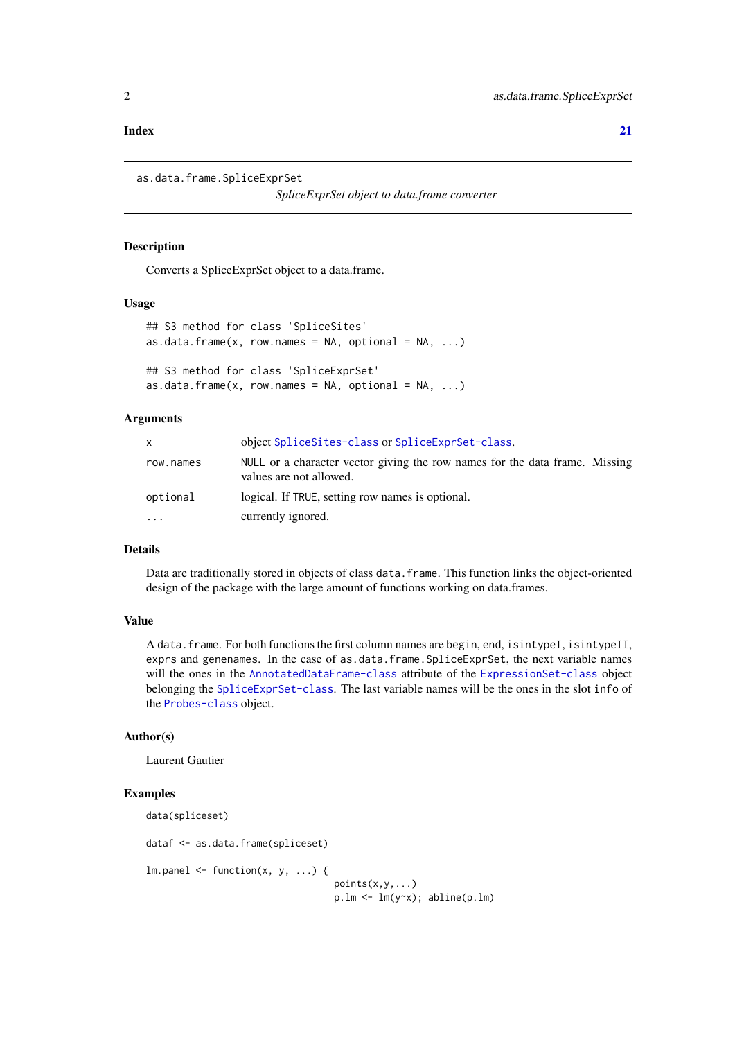#### <span id="page-1-0"></span>**Index** [21](#page-20-0)

```
as.data.frame.SpliceExprSet
```
*SpliceExprSet object to data.frame converter*

#### Description

Converts a SpliceExprSet object to a data.frame.

#### Usage

```
## S3 method for class 'SpliceSites'
as.data.frame(x, row.names = NA, optional = NA, ...)
## S3 method for class 'SpliceExprSet'
as.data.frame(x, row.names = NA, optional = NA, ...)
```
#### Arguments

| X.        | object SpliceSites-class or SpliceExprSet-class.                                                       |
|-----------|--------------------------------------------------------------------------------------------------------|
| row.names | NULL or a character vector giving the row names for the data frame. Missing<br>values are not allowed. |
| optional  | logical. If TRUE, setting row names is optional.                                                       |
| $\ddotsc$ | currently ignored.                                                                                     |

#### Details

Data are traditionally stored in objects of class data.frame. This function links the object-oriented design of the package with the large amount of functions working on data.frames.

#### Value

A data.frame. For both functions the first column names are begin, end, isintypeI, isintypeII, exprs and genenames. In the case of as.data.frame.SpliceExprSet, the next variable names will the ones in the [AnnotatedDataFrame-class](#page-0-0) attribute of the [ExpressionSet-class](#page-0-0) object belonging the [SpliceExprSet-class](#page-14-1). The last variable names will be the ones in the slot info of the [Probes-class](#page-12-1) object.

#### Author(s)

Laurent Gautier

#### Examples

```
data(spliceset)
dataf <- as.data.frame(spliceset)
lm.panel \leftarrow function(x, y, ...)points(x,y,...)p.lm <- lm(y~x); abline(p.lm)
```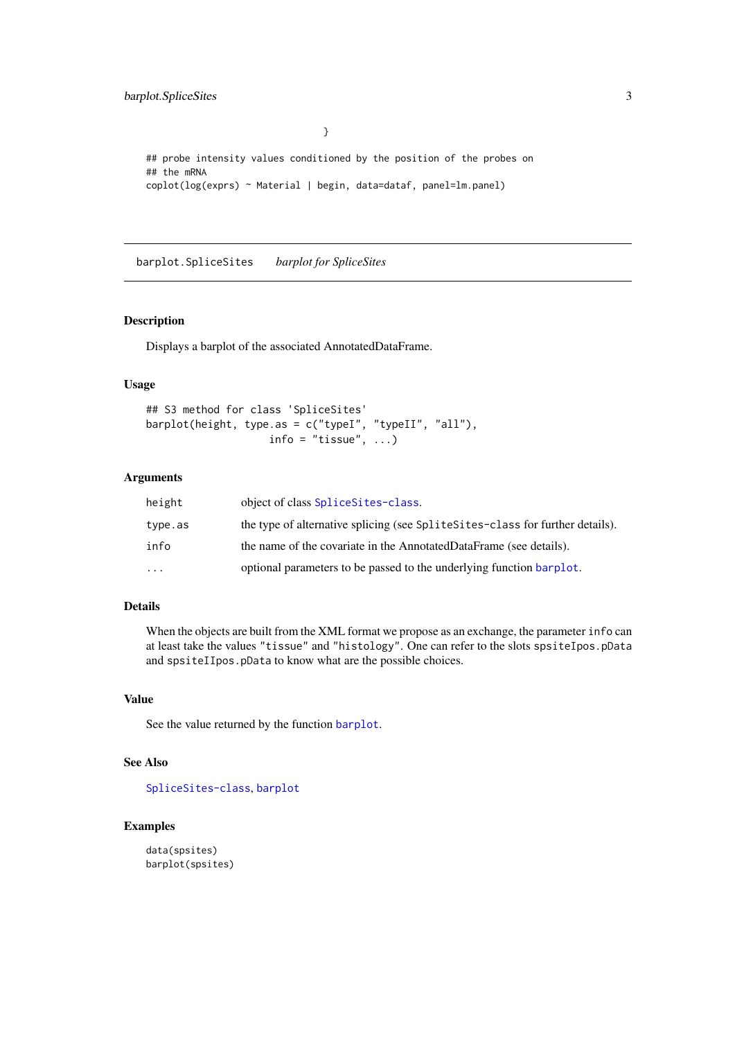<span id="page-2-0"></span>barplot.SpliceSites 3

## probe intensity values conditioned by the position of the probes on ## the mRNA coplot(log(exprs) ~ Material | begin, data=dataf, panel=lm.panel)

}

barplot.SpliceSites *barplot for SpliceSites*

#### Description

Displays a barplot of the associated AnnotatedDataFrame.

#### Usage

```
## S3 method for class 'SpliceSites'
barplot(height, type.as = c("typeI", "typeII", "all"),
                   info = "tissue", ...
```
#### Arguments

| height   | object of class Splice Sites-class.                                           |
|----------|-------------------------------------------------------------------------------|
| type.as  | the type of alternative splicing (see SpliteSites-class for further details). |
| info     | the name of the covariate in the AnnotatedDataFrame (see details).            |
| $\cdots$ | optional parameters to be passed to the underlying function barplot.          |

#### Details

When the objects are built from the XML format we propose as an exchange, the parameter info can at least take the values "tissue" and "histology". One can refer to the slots spsiteIpos.pData and spsiteIIpos.pData to know what are the possible choices.

#### Value

See the value returned by the function [barplot](#page-0-0).

#### See Also

[SpliceSites-class](#page-16-1), [barplot](#page-0-0)

#### Examples

data(spsites) barplot(spsites)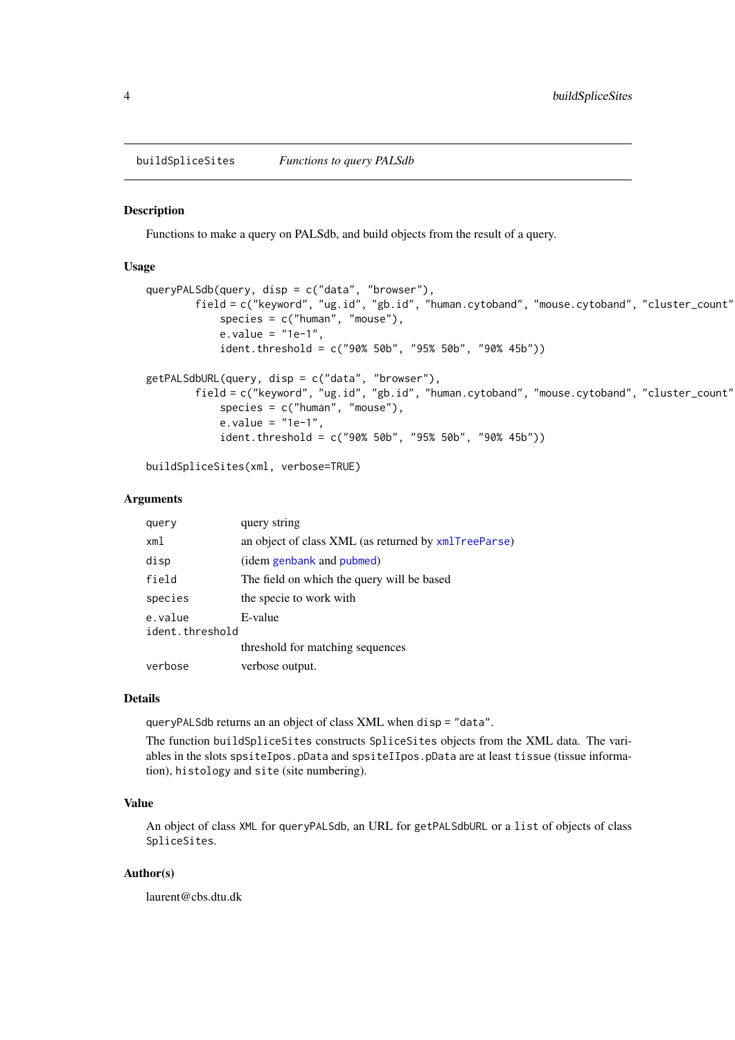<span id="page-3-0"></span>buildSpliceSites *Functions to query PALSdb*

#### <span id="page-3-1"></span>Description

Functions to make a query on PALSdb, and build objects from the result of a query.

#### Usage

```
queryPALSdb(query, disp = c("data", "browser"),
        field = c("keyword", "ug.id", "gb.id", "human.cytoband", "mouse.cytoband", "cluster_count"),
            species = c("human", "mouse"),
            e.value = "1e-1",ident.threshold = c("90% 50b", "95% 50b", "90% 45b"))
getPALSdbURL(query, disp = c("data", "browser"),
        field = c("keyword", "ug.id", "gb.id", "human.cytoband", "mouse.cytoband", "cluster_count"
            species = c("human", "mouse"),
            e.value = "1e-1",
            ident.threshold = c("90% 50b", "95% 50b", "90% 45b"))
```
buildSpliceSites(xml, verbose=TRUE)

#### Arguments

| query                      | query string                                         |
|----------------------------|------------------------------------------------------|
| xml                        | an object of class XML (as returned by xmlTreeParse) |
| disp                       | (idem genbank and pubmed)                            |
| field                      | The field on which the query will be based           |
| species                    | the specie to work with                              |
| e.value<br>ident.threshold | E-value                                              |
|                            | threshold for matching sequences                     |
| verbose                    | verbose output.                                      |

#### Details

queryPALSdb returns an an object of class XML when disp = "data".

The function buildSpliceSites constructs SpliceSites objects from the XML data. The variables in the slots spsiteIpos.pData and spsiteIIpos.pData are at least tissue (tissue information), histology and site (site numbering).

#### Value

An object of class XML for queryPALSdb, an URL for getPALSdbURL or a list of objects of class SpliceSites.

#### Author(s)

laurent@cbs.dtu.dk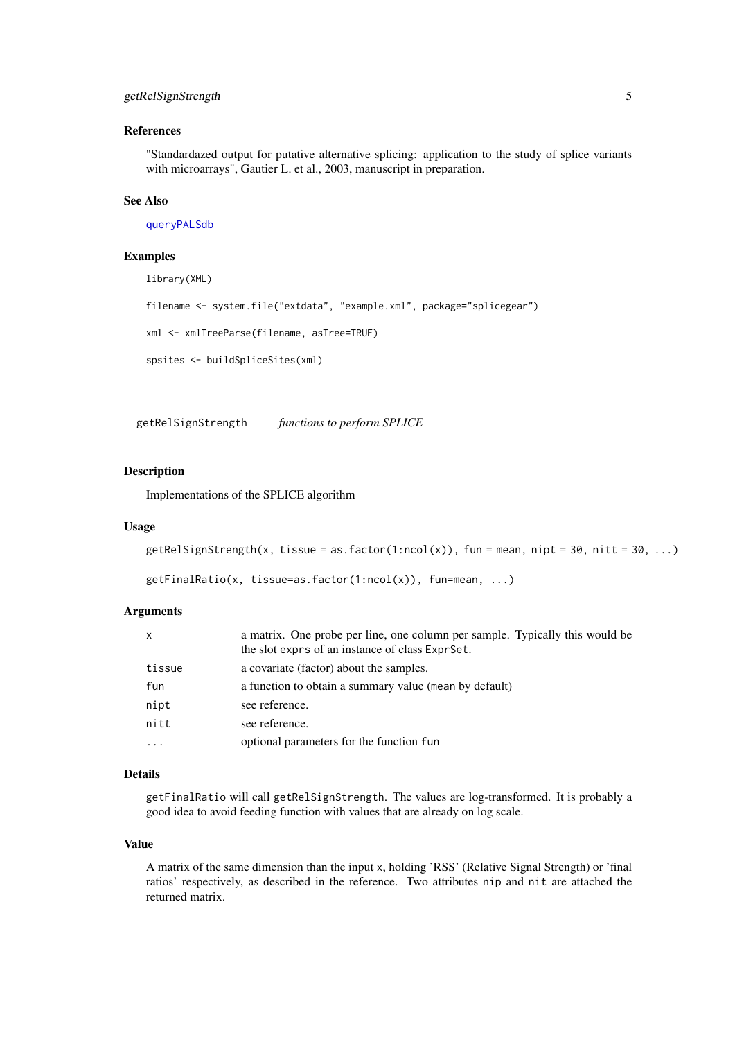#### <span id="page-4-0"></span>getRelSignStrength 5

#### References

"Standardazed output for putative alternative splicing: application to the study of splice variants with microarrays", Gautier L. et al., 2003, manuscript in preparation.

#### See Also

[queryPALSdb](#page-3-1)

#### Examples

library(XML)

```
filename <- system.file("extdata", "example.xml", package="splicegear")
```

```
xml <- xmlTreeParse(filename, asTree=TRUE)
```

```
spsites <- buildSpliceSites(xml)
```
getRelSignStrength *functions to perform SPLICE*

#### Description

Implementations of the SPLICE algorithm

#### Usage

```
getRelSignStrongth(x, tissue = as.factor(1:ncol(x)), fun = mean, nipt = 30, nitt = 30, ...)
```

```
getFinalRatio(x, tissue=as.factor(1:ncol(x)), fun=mean, ...)
```
#### Arguments

| X        | a matrix. One probe per line, one column per sample. Typically this would be<br>the slot exprs of an instance of class ExprSet. |
|----------|---------------------------------------------------------------------------------------------------------------------------------|
| tissue   | a covariate (factor) about the samples.                                                                                         |
| fun      | a function to obtain a summary value (mean by default)                                                                          |
| nipt     | see reference.                                                                                                                  |
| nitt     | see reference.                                                                                                                  |
| $\cdots$ | optional parameters for the function fun                                                                                        |

#### Details

getFinalRatio will call getRelSignStrength. The values are log-transformed. It is probably a good idea to avoid feeding function with values that are already on log scale.

#### Value

A matrix of the same dimension than the input x, holding 'RSS' (Relative Signal Strength) or 'final ratios' respectively, as described in the reference. Two attributes nip and nit are attached the returned matrix.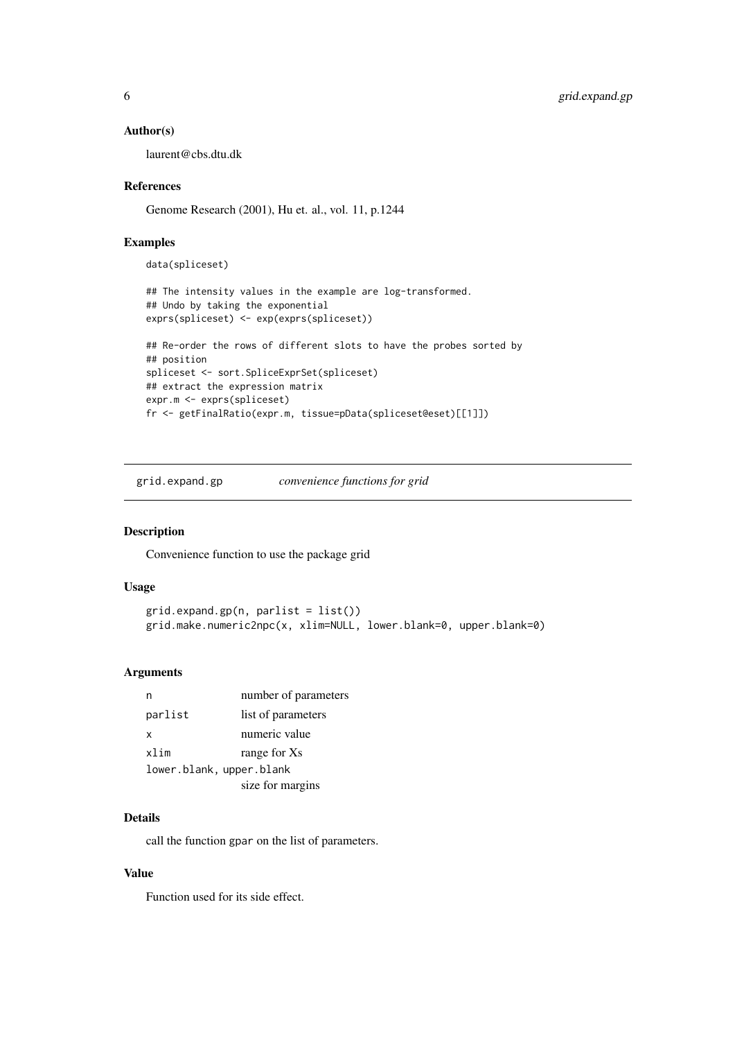#### Author(s)

laurent@cbs.dtu.dk

#### References

Genome Research (2001), Hu et. al., vol. 11, p.1244

#### Examples

```
data(spliceset)
## The intensity values in the example are log-transformed.
## Undo by taking the exponential
exprs(spliceset) <- exp(exprs(spliceset))
## Re-order the rows of different slots to have the probes sorted by
## position
spliceset <- sort.SpliceExprSet(spliceset)
## extract the expression matrix
expr.m <- exprs(spliceset)
fr <- getFinalRatio(expr.m, tissue=pData(spliceset@eset)[[1]])
```
grid.expand.gp *convenience functions for grid*

#### Description

Convenience function to use the package grid

#### Usage

```
grid.expand.gp(n, parlist = list())
grid.make.numeric2npc(x, xlim=NULL, lower.blank=0, upper.blank=0)
```
#### Arguments

| n                        | number of parameters |
|--------------------------|----------------------|
| parlist                  | list of parameters   |
| x                        | numeric value        |
| xlim                     | range for Xs         |
| lower.blank, upper.blank |                      |
|                          | size for margins     |

#### Details

call the function gpar on the list of parameters.

#### Value

Function used for its side effect.

<span id="page-5-0"></span>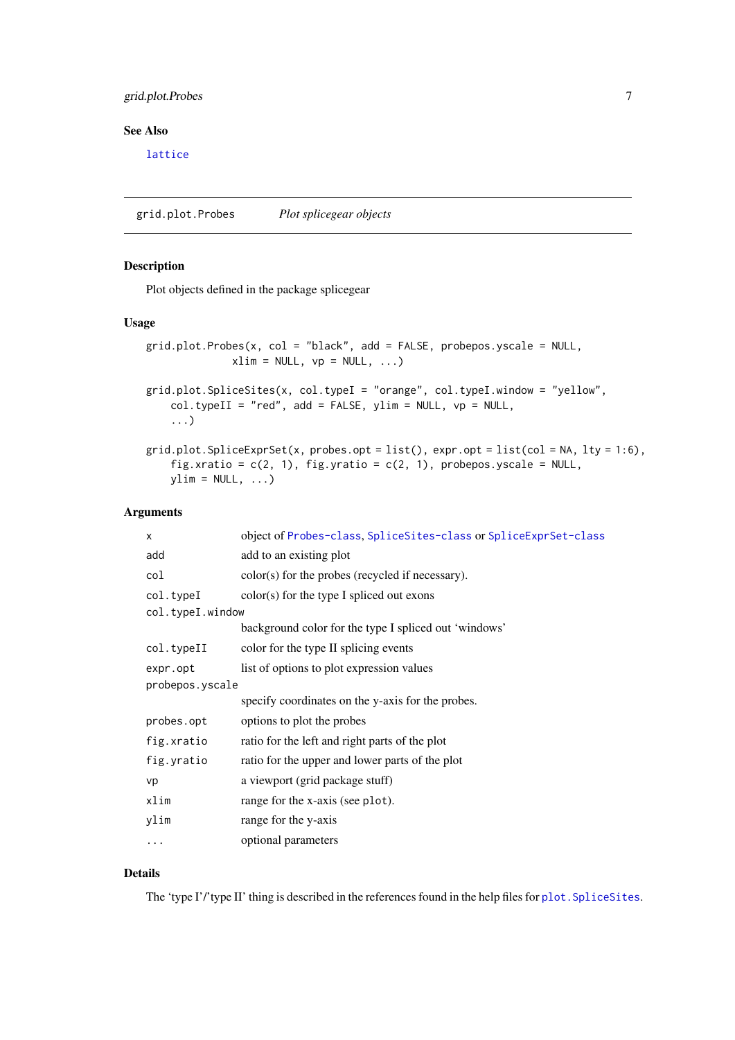#### <span id="page-6-0"></span>grid.plot.Probes 7

#### See Also

[lattice](#page-0-0)

grid.plot.Probes *Plot splicegear objects*

#### Description

Plot objects defined in the package splicegear

#### Usage

```
grid.plot.Probes(x, col = "black", add = FALSE, probepos.yscale = NULL,
             xlim = NULL, vp = NULL, ...)
```

```
grid.plot.SpliceSites(x, col.typeI = "orange", col.typeI.window = "yellow",
    col.typeII = "red", add = FALSE, ylim = NULL, vp = NULL,...)
```

```
grid.plot.SpliceExprSet(x, probes.opt = list(), expr.opt = list(col = NA, lty = 1:6),
    fig.xratio = c(2, 1), fig.yratio = c(2, 1), probepos.yscale = NULL,
   ylim = NULL, ...
```
#### Arguments

| X                | object of Probes-class, SpliceSites-class or SpliceExprSet-class |  |
|------------------|------------------------------------------------------------------|--|
| add              | add to an existing plot                                          |  |
| col              | color(s) for the probes (recycled if necessary).                 |  |
| col.typeI        | $color(s)$ for the type I spliced out exons                      |  |
| col.typeI.window |                                                                  |  |
|                  | background color for the type I spliced out 'windows'            |  |
| col.typeII       | color for the type II splicing events                            |  |
| expr.opt         | list of options to plot expression values                        |  |
| probepos.yscale  |                                                                  |  |
|                  | specify coordinates on the y-axis for the probes.                |  |
| probes.opt       | options to plot the probes                                       |  |
| fig.xratio       | ratio for the left and right parts of the plot                   |  |
| fig.yratio       | ratio for the upper and lower parts of the plot                  |  |
| vp               | a viewport (grid package stuff)                                  |  |
| xlim             | range for the x-axis (see plot).                                 |  |
| ylim             | range for the y-axis                                             |  |
| .                | optional parameters                                              |  |

#### Details

The 'type I'' type II' thing is described in the references found in the help files for plot. SpliceSites.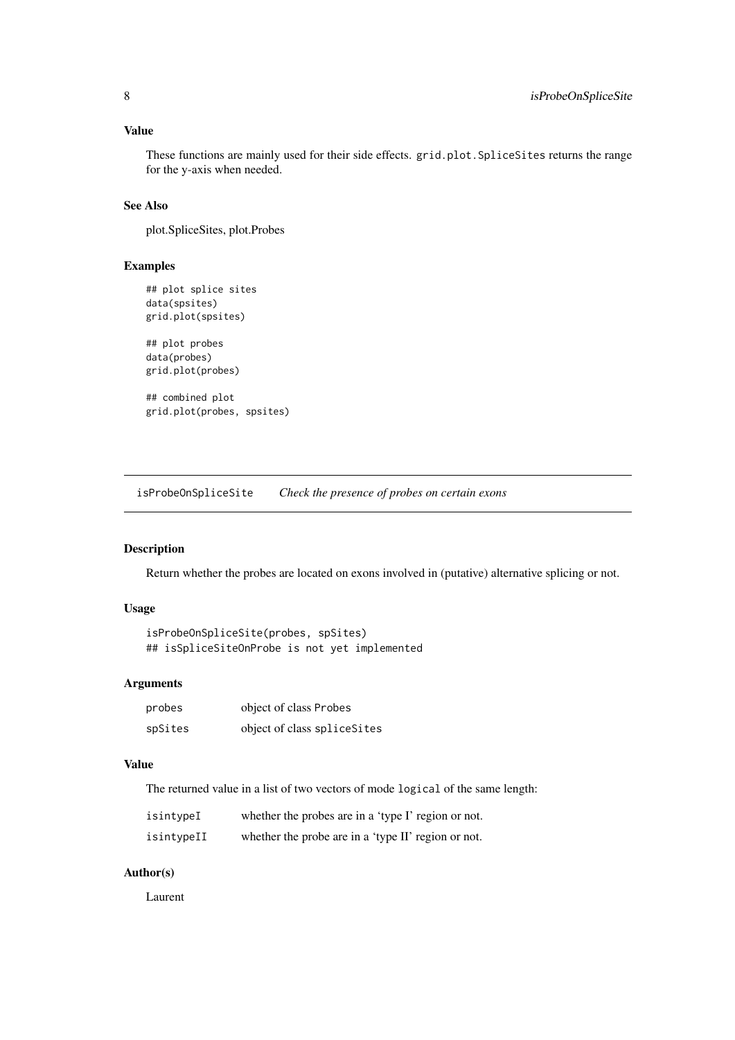#### <span id="page-7-0"></span>Value

These functions are mainly used for their side effects. grid.plot.SpliceSites returns the range for the y-axis when needed.

#### See Also

plot.SpliceSites, plot.Probes

#### Examples

```
## plot splice sites
data(spsites)
grid.plot(spsites)
## plot probes
data(probes)
grid.plot(probes)
## combined plot
grid.plot(probes, spsites)
```
<span id="page-7-2"></span>isProbeOnSpliceSite *Check the presence of probes on certain exons*

#### <span id="page-7-1"></span>Description

Return whether the probes are located on exons involved in (putative) alternative splicing or not.

#### Usage

```
isProbeOnSpliceSite(probes, spSites)
## isSpliceSiteOnProbe is not yet implemented
```
#### Arguments

| probes  | object of class Probes       |
|---------|------------------------------|
| spSites | object of class splice Sites |

#### Value

The returned value in a list of two vectors of mode logical of the same length:

| isintypeI  | whether the probes are in a 'type I' region or not. |
|------------|-----------------------------------------------------|
| isintypeII | whether the probe are in a 'type II' region or not. |

#### Author(s)

Laurent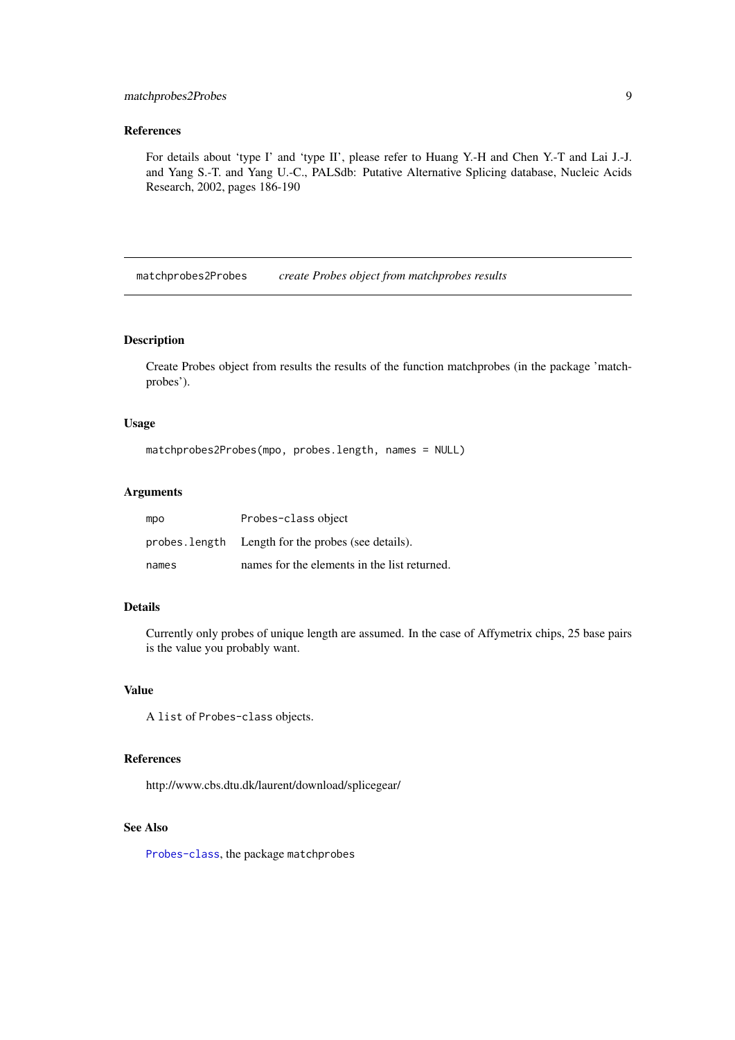#### <span id="page-8-0"></span>matchprobes2Probes 9

#### References

For details about 'type I' and 'type II', please refer to Huang Y.-H and Chen Y.-T and Lai J.-J. and Yang S.-T. and Yang U.-C., PALSdb: Putative Alternative Splicing database, Nucleic Acids Research, 2002, pages 186-190

matchprobes2Probes *create Probes object from matchprobes results*

#### Description

Create Probes object from results the results of the function matchprobes (in the package 'matchprobes').

#### Usage

```
matchprobes2Probes(mpo, probes.length, names = NULL)
```
#### Arguments

| mpo   | Probes-class object                                 |
|-------|-----------------------------------------------------|
|       | probes. length Length for the probes (see details). |
| names | names for the elements in the list returned.        |

#### Details

Currently only probes of unique length are assumed. In the case of Affymetrix chips, 25 base pairs is the value you probably want.

#### Value

A list of Probes-class objects.

#### References

http://www.cbs.dtu.dk/laurent/download/splicegear/

#### See Also

[Probes-class](#page-12-1), the package matchprobes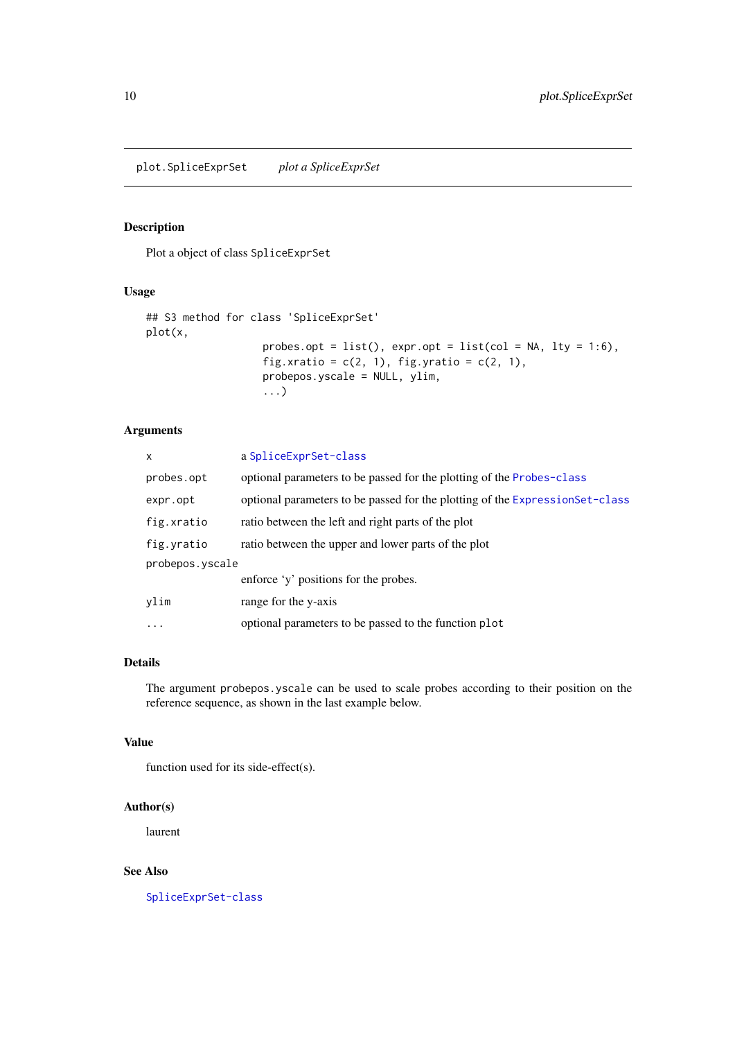<span id="page-9-0"></span>plot.SpliceExprSet *plot a SpliceExprSet*

#### Description

Plot a object of class SpliceExprSet

#### Usage

```
## S3 method for class 'SpliceExprSet'
plot(x,
                   probes.opt = list(), expr,opt = list(col = NA, lty = 1:6),
                   fig.xratio = c(2, 1), fig.yratio = c(2, 1),
                   probepos.yscale = NULL, ylim,
                   ...)
```
#### Arguments

| x               | a SpliceExprSet-class                                                        |  |
|-----------------|------------------------------------------------------------------------------|--|
| probes.opt      | optional parameters to be passed for the plotting of the Probes-class        |  |
| expr.opt        | optional parameters to be passed for the plotting of the ExpressionSet-class |  |
| fig.xratio      | ratio between the left and right parts of the plot                           |  |
| fig.yratio      | ratio between the upper and lower parts of the plot                          |  |
| probepos.yscale |                                                                              |  |
|                 | enforce 'y' positions for the probes.                                        |  |
| ylim            | range for the y-axis                                                         |  |
| $\cdots$        | optional parameters to be passed to the function plot                        |  |

#### Details

The argument probepos.yscale can be used to scale probes according to their position on the reference sequence, as shown in the last example below.

#### Value

function used for its side-effect(s).

#### Author(s)

laurent

### See Also

[SpliceExprSet-class](#page-14-1)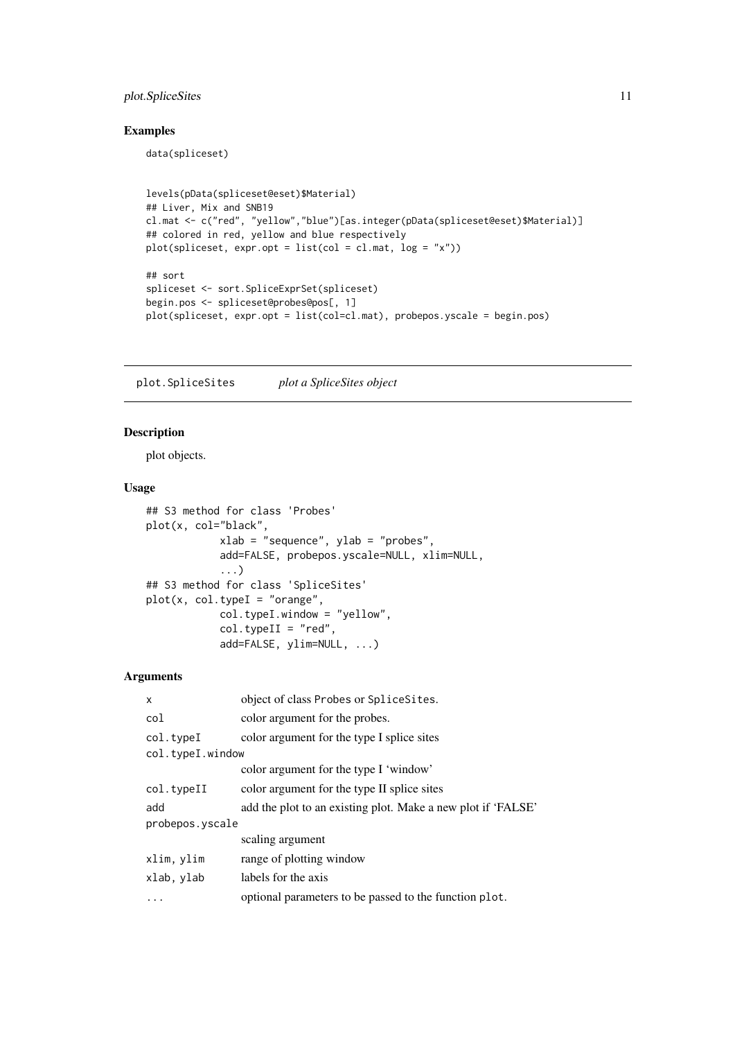#### <span id="page-10-0"></span>plot.SpliceSites 11

#### Examples

data(spliceset)

```
levels(pData(spliceset@eset)$Material)
## Liver, Mix and SNB19
cl.mat <- c("red", "yellow","blue")[as.integer(pData(spliceset@eset)$Material)]
## colored in red, yellow and blue respectively
plot(spliceset, expr.opt = list(col = cl.mat, log = "x"))
## sort
spliceset <- sort.SpliceExprSet(spliceset)
begin.pos <- spliceset@probes@pos[, 1]
plot(spliceset, expr.opt = list(col=cl.mat), probepos.yscale = begin.pos)
```
<span id="page-10-1"></span>plot.SpliceSites *plot a SpliceSites object*

#### <span id="page-10-2"></span>Description

plot objects.

#### Usage

```
## S3 method for class 'Probes'
plot(x, col="black",
            xlab = "sequence", ylab = "probes",
            add=FALSE, probepos.yscale=NULL, xlim=NULL,
            ...)
## S3 method for class 'SpliceSites'
plot(x, col.\text{typeI} = "orange",col.typeI.window = "yellow",
            col.typeII = "red",add=FALSE, ylim=NULL, ...)
```
#### Arguments

| X                | object of class Probes or Splice Sites.                      |  |
|------------------|--------------------------------------------------------------|--|
| col              | color argument for the probes.                               |  |
| col.typeI        | color argument for the type I splice sites                   |  |
| col.typeI.window |                                                              |  |
|                  | color argument for the type I 'window'                       |  |
| col.typeII       | color argument for the type II splice sites                  |  |
| add              | add the plot to an existing plot. Make a new plot if 'FALSE' |  |
| probepos.yscale  |                                                              |  |
|                  | scaling argument                                             |  |
| xlim, ylim       | range of plotting window                                     |  |
| xlab, ylab       | labels for the axis                                          |  |
|                  | optional parameters to be passed to the function plot.       |  |
|                  |                                                              |  |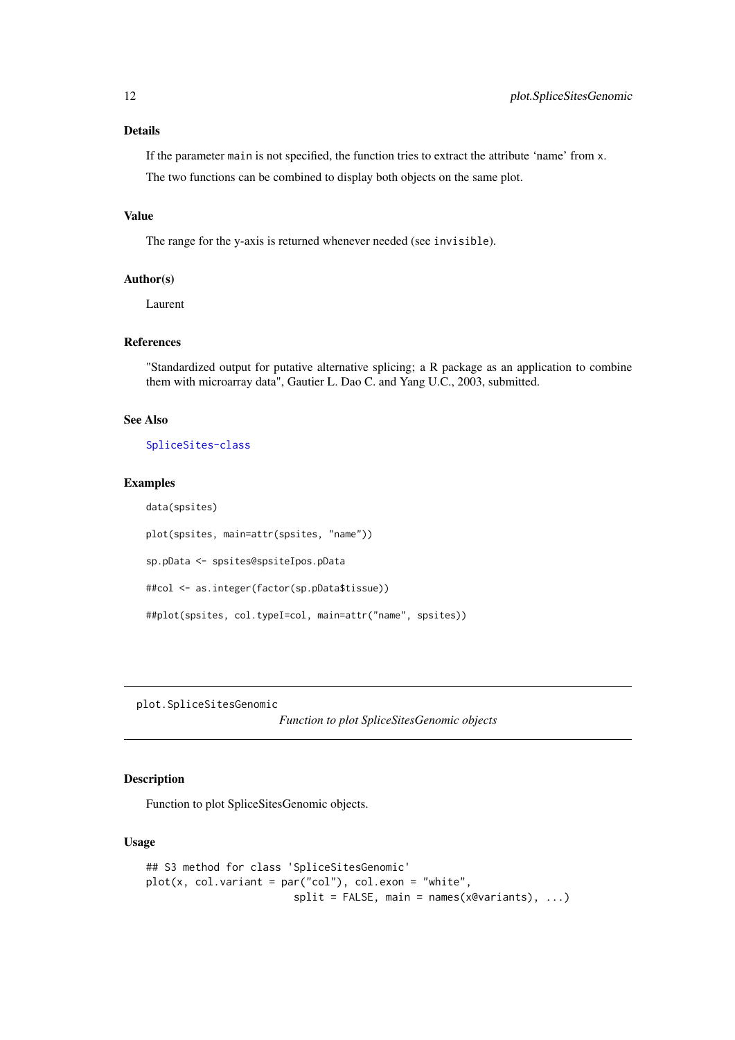#### Details

If the parameter main is not specified, the function tries to extract the attribute 'name' from x.

The two functions can be combined to display both objects on the same plot.

#### Value

The range for the y-axis is returned whenever needed (see invisible).

#### Author(s)

Laurent

#### References

"Standardized output for putative alternative splicing; a R package as an application to combine them with microarray data", Gautier L. Dao C. and Yang U.C., 2003, submitted.

#### See Also

[SpliceSites-class](#page-16-1)

#### Examples

```
data(spsites)
plot(spsites, main=attr(spsites, "name"))
sp.pData <- spsites@spsiteIpos.pData
##col <- as.integer(factor(sp.pData$tissue))
##plot(spsites, col.typeI=col, main=attr("name", spsites))
```
<span id="page-11-1"></span>plot.SpliceSitesGenomic

*Function to plot SpliceSitesGenomic objects*

#### Description

Function to plot SpliceSitesGenomic objects.

#### Usage

```
## S3 method for class 'SpliceSitesGenomic'
plot(x, colَ.variant = par("col"), col. exon = "white",split = FALSE, main = names(x@variants), ...)
```
<span id="page-11-0"></span>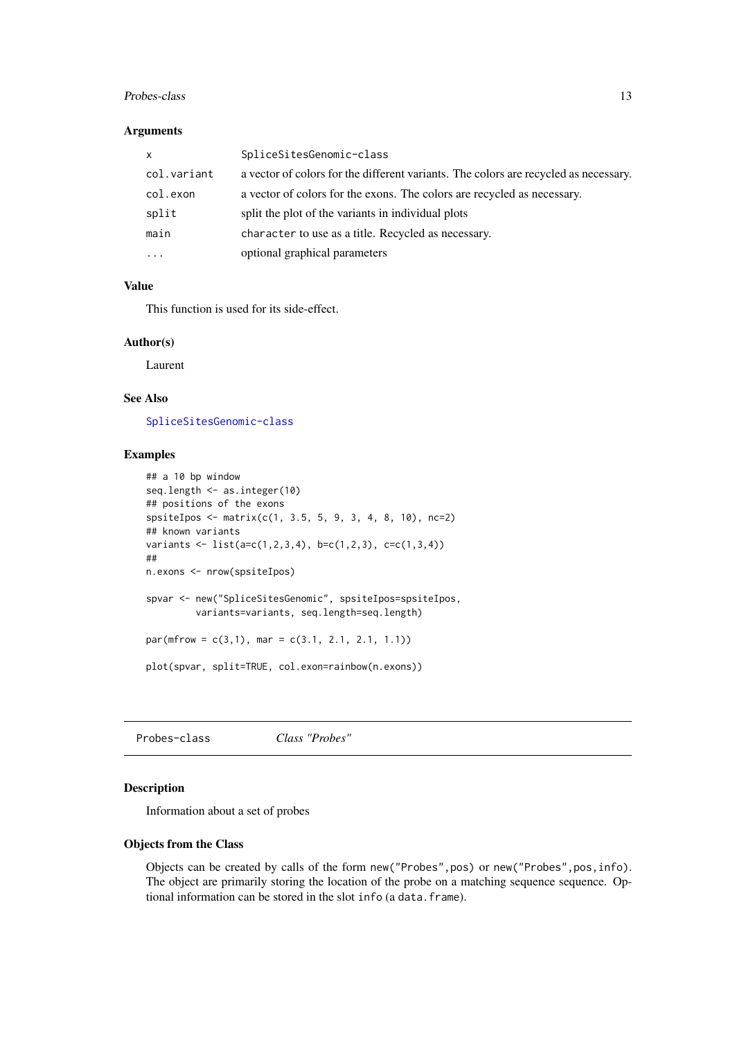#### <span id="page-12-0"></span>Probes-class 13

### Arguments

| <b>X</b>    | SpliceSitesGenomic-class                                                             |  |
|-------------|--------------------------------------------------------------------------------------|--|
| col.variant | a vector of colors for the different variants. The colors are recycled as necessary. |  |
| col.exon    | a vector of colors for the exons. The colors are recycled as necessary.              |  |
| split       | split the plot of the variants in individual plots                                   |  |
| main        | character to use as a title. Recycled as necessary.                                  |  |
| $\cdots$    | optional graphical parameters                                                        |  |

#### Value

This function is used for its side-effect.

#### Author(s)

Laurent

#### See Also

[SpliceSitesGenomic-class](#page-17-1)

#### Examples

```
## a 10 bp window
seq.length <- as.integer(10)
## positions of the exons
spsiteIpos <- matrix(c(1, 3.5, 5, 9, 3, 4, 8, 10), nc=2)
## known variants
variants \leq list(a=c(1,2,3,4), b=c(1,2,3), c=c(1,3,4))
##
n.exons <- nrow(spsiteIpos)
spvar <- new("SpliceSitesGenomic", spsiteIpos=spsiteIpos,
         variants=variants, seq.length=seq.length)
par(mfrow = c(3,1), mar = c(3.1, 2.1, 2.1, 1.1))plot(spvar, split=TRUE, col.exon=rainbow(n.exons))
```
<span id="page-12-1"></span>Probes-class *Class "Probes"*

#### Description

Information about a set of probes

#### Objects from the Class

Objects can be created by calls of the form new("Probes",pos) or new("Probes",pos,info). The object are primarily storing the location of the probe on a matching sequence sequence. Optional information can be stored in the slot info (a data.frame).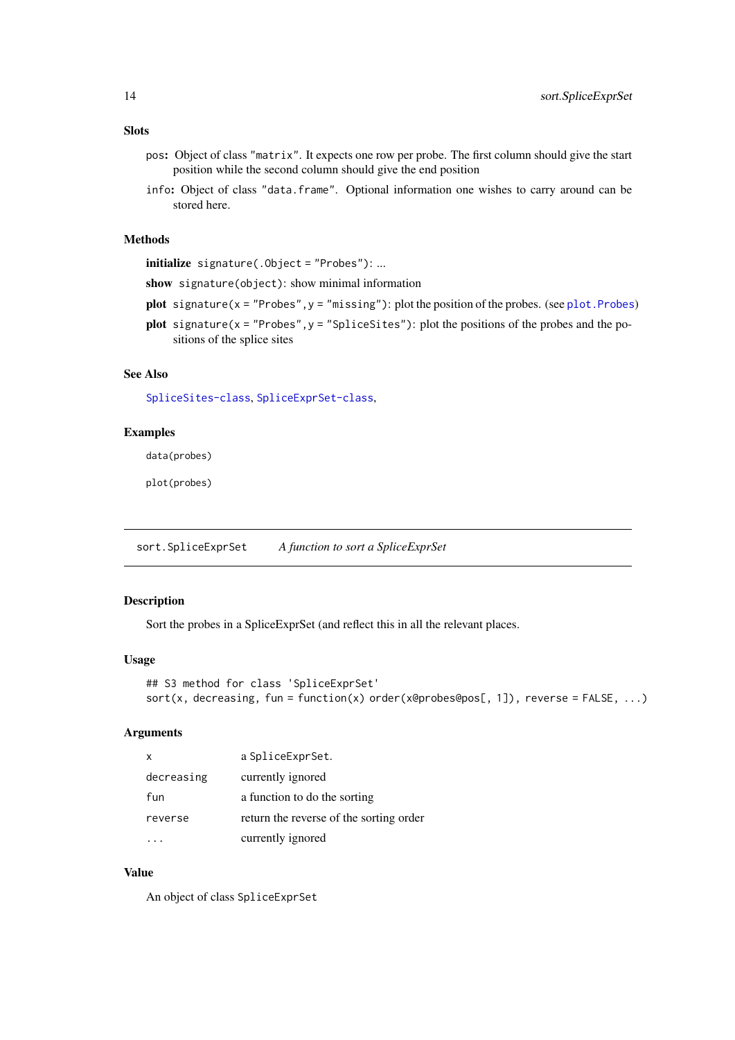- <span id="page-13-0"></span>pos: Object of class "matrix". It expects one row per probe. The first column should give the start position while the second column should give the end position
- info: Object of class "data.frame". Optional information one wishes to carry around can be stored here.

#### Methods

initialize signature(.Object = "Probes"): ...

show signature(object): show minimal information

- plot signature( $x = "Probes", y = "missing");$  plot the position of the probes. (see plot. Probes)
- plot signature( $x =$  "Probes",  $y =$  "SpliceSites"): plot the positions of the probes and the positions of the splice sites

#### See Also

[SpliceSites-class](#page-16-1), [SpliceExprSet-class](#page-14-1),

#### Examples

data(probes)

plot(probes)

<span id="page-13-1"></span>sort.SpliceExprSet *A function to sort a SpliceExprSet*

#### Description

Sort the probes in a SpliceExprSet (and reflect this in all the relevant places.

#### Usage

```
## S3 method for class 'SpliceExprSet'
sort(x, decreasing, fun = function(x) order(x@probes@pos[, 1]), reverse = FALSE, ...)
```
#### Arguments

| X          | a SpliceExprSet.                        |
|------------|-----------------------------------------|
| decreasing | currently ignored                       |
| fun        | a function to do the sorting            |
| reverse    | return the reverse of the sorting order |
|            | currently ignored                       |

#### Value

An object of class SpliceExprSet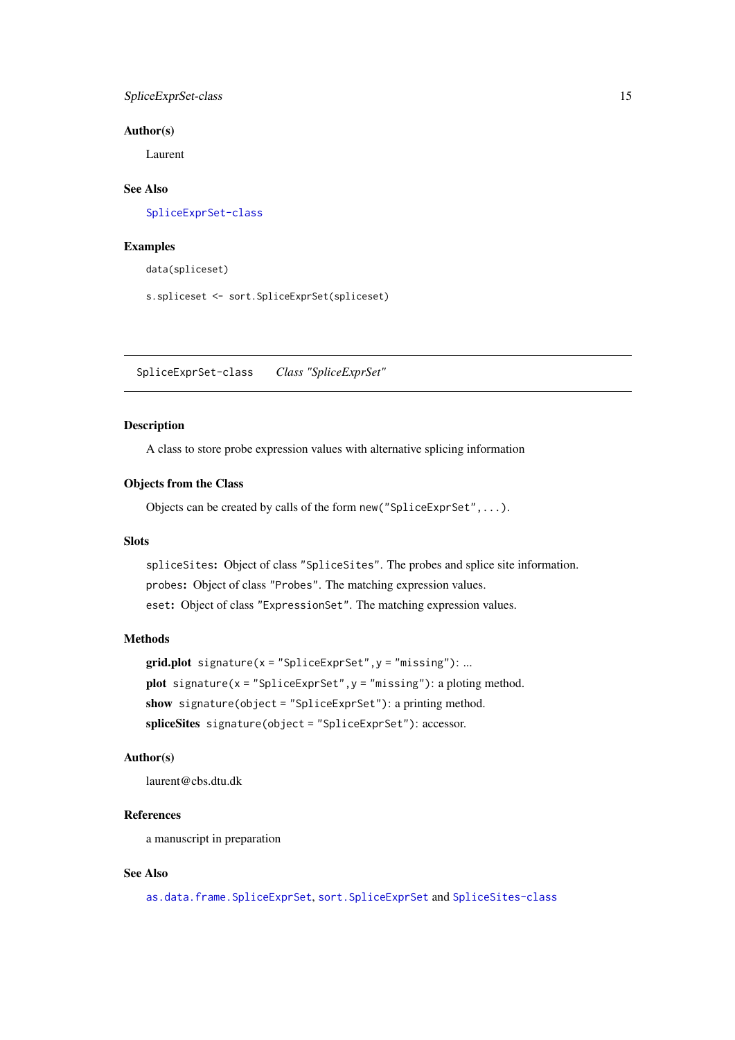<span id="page-14-0"></span>SpliceExprSet-class 15

#### Author(s)

Laurent

# See Also

[SpliceExprSet-class](#page-14-1)

#### Examples

data(spliceset)

s.spliceset <- sort.SpliceExprSet(spliceset)

<span id="page-14-1"></span>SpliceExprSet-class *Class "SpliceExprSet"*

#### Description

A class to store probe expression values with alternative splicing information

#### Objects from the Class

Objects can be created by calls of the form new("SpliceExprSet",...).

#### Slots

spliceSites: Object of class "SpliceSites". The probes and splice site information. probes: Object of class "Probes". The matching expression values. eset: Object of class "ExpressionSet". The matching expression values.

#### Methods

```
grid.plot signature(x = "SpliceExprSet", y = "missing"): ...
plot signature(x ="SpliceExprSet",y ="missing"): a ploting method.
show signature(object = "SpliceExprSet"): a printing method.
spliceSites signature(object = "SpliceExprSet"): accessor.
```
#### Author(s)

laurent@cbs.dtu.dk

#### References

a manuscript in preparation

#### See Also

[as.data.frame.SpliceExprSet](#page-1-1), [sort.SpliceExprSet](#page-13-1) and [SpliceSites-class](#page-16-1)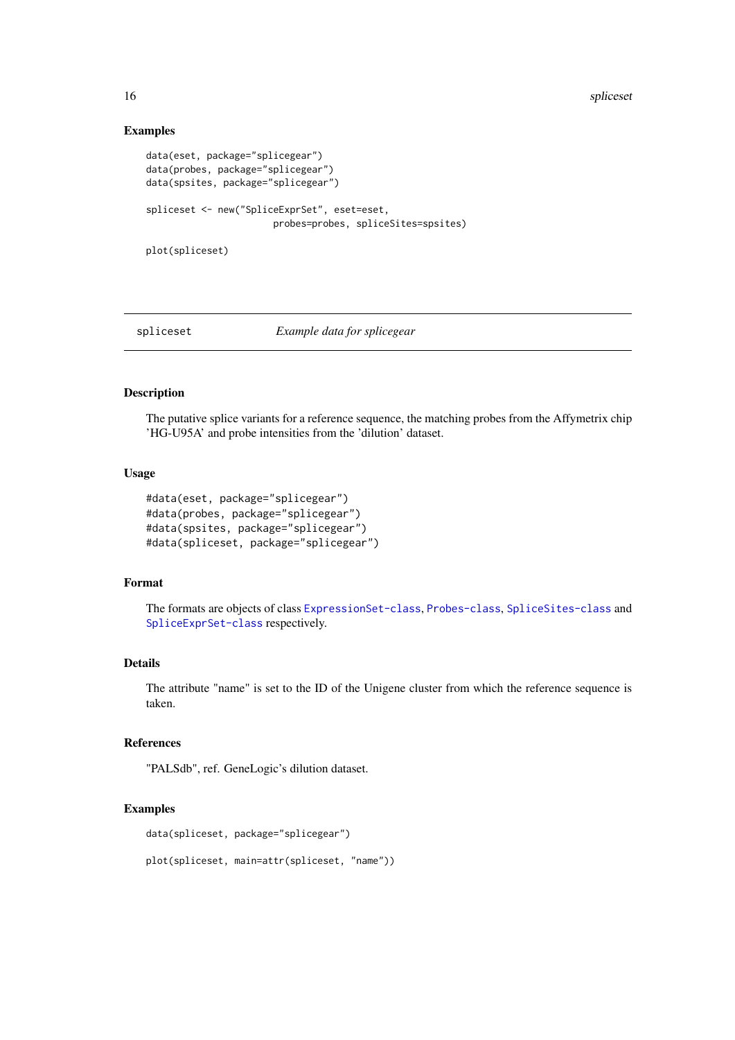16 spliceset and the spliceset splices of the spliceset splices in the splices of the splices of the splices of the splices of the splices of the splices of the splices of the splices of the splices of the splices of the s

#### Examples

```
data(eset, package="splicegear")
data(probes, package="splicegear")
data(spsites, package="splicegear")
spliceset <- new("SpliceExprSet", eset=eset,
                       probes=probes, spliceSites=spsites)
plot(spliceset)
```
<span id="page-15-1"></span>

#### spliceset *Example data for splicegear*

### Description

The putative splice variants for a reference sequence, the matching probes from the Affymetrix chip 'HG-U95A' and probe intensities from the 'dilution' dataset.

#### Usage

```
#data(eset, package="splicegear")
#data(probes, package="splicegear")
#data(spsites, package="splicegear")
#data(spliceset, package="splicegear")
```
#### Format

The formats are objects of class [ExpressionSet-class](#page-0-0), [Probes-class](#page-12-1), [SpliceSites-class](#page-16-1) and [SpliceExprSet-class](#page-14-1) respectively.

#### Details

The attribute "name" is set to the ID of the Unigene cluster from which the reference sequence is taken.

#### References

"PALSdb", ref. GeneLogic's dilution dataset.

#### Examples

```
data(spliceset, package="splicegear")
```
plot(spliceset, main=attr(spliceset, "name"))

<span id="page-15-0"></span>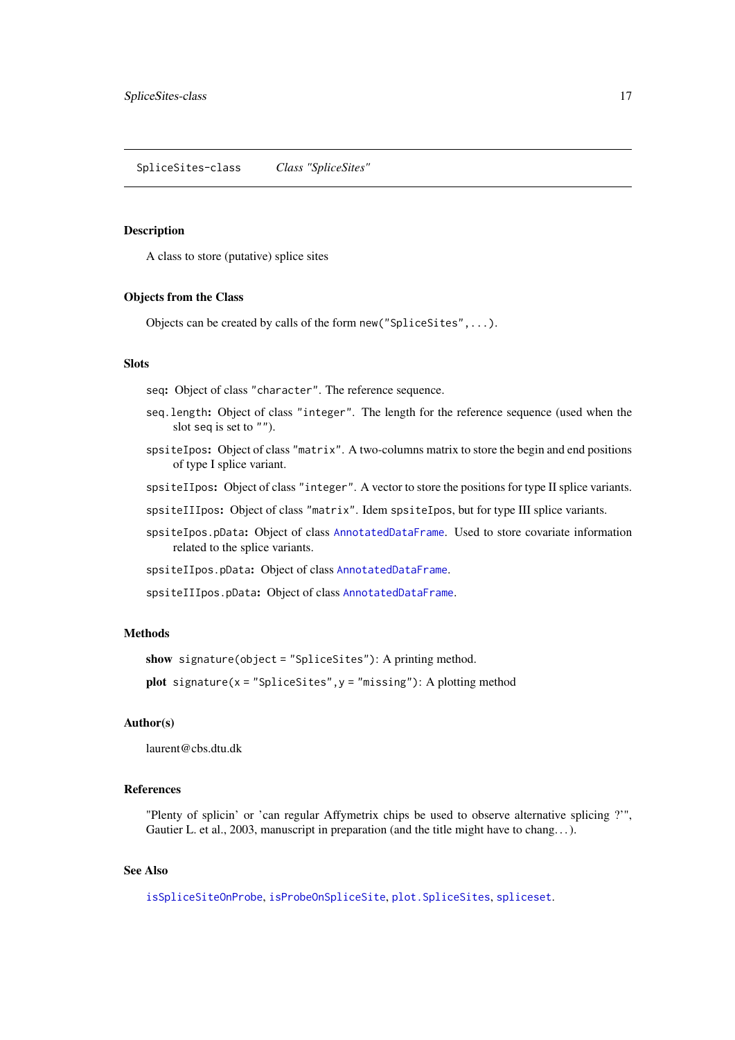<span id="page-16-1"></span><span id="page-16-0"></span>SpliceSites-class *Class "SpliceSites"*

#### Description

A class to store (putative) splice sites

#### Objects from the Class

Objects can be created by calls of the form new("SpliceSites",...).

#### Slots

seq: Object of class "character". The reference sequence.

- seq.length: Object of class "integer". The length for the reference sequence (used when the slot seq is set to "").
- spsiteIpos: Object of class "matrix". A two-columns matrix to store the begin and end positions of type I splice variant.
- spsiteIIpos: Object of class "integer". A vector to store the positions for type II splice variants.
- spsiteIIIpos: Object of class "matrix". Idem spsiteIpos, but for type III splice variants.
- spsiteIpos.pData: Object of class [AnnotatedDataFrame](#page-0-0). Used to store covariate information related to the splice variants.
- spsiteIIpos.pData: Object of class [AnnotatedDataFrame](#page-0-0).
- spsiteIIIpos.pData: Object of class [AnnotatedDataFrame](#page-0-0).

#### Methods

```
show signature(object = "SpliceSites"): A printing method.
```
plot signature( $x =$  "SpliceSites",  $y =$  "missing"): A plotting method

#### Author(s)

laurent@cbs.dtu.dk

#### References

"Plenty of splicin' or 'can regular Affymetrix chips be used to observe alternative splicing ?'", Gautier L. et al., 2003, manuscript in preparation (and the title might have to chang...).

### See Also

[isSpliceSiteOnProbe](#page-7-1), [isProbeOnSpliceSite](#page-7-2), [plot.SpliceSites](#page-10-1), [spliceset](#page-15-1).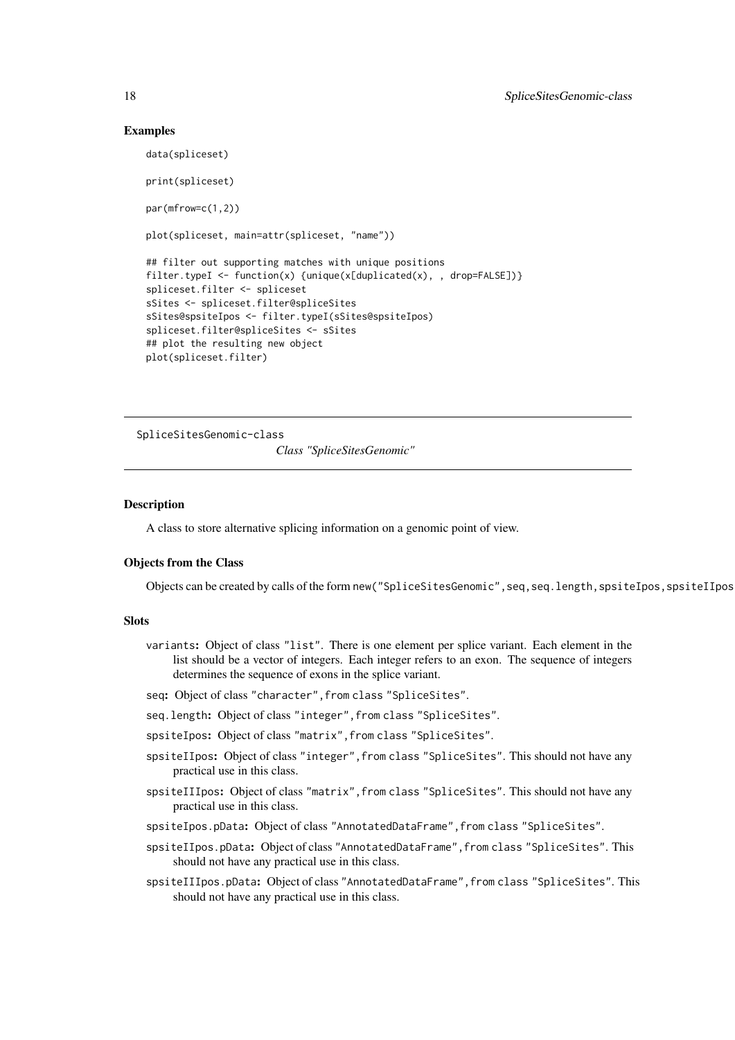#### Examples

```
data(spliceset)
print(spliceset)
par(mfrow=c(1,2))
plot(spliceset, main=attr(spliceset, "name"))
## filter out supporting matches with unique positions
filter.typeI <- function(x) {unique(x[duplicated(x), , drop=FALSE])}
spliceset.filter <- spliceset
sSites <- spliceset.filter@spliceSites
sSites@spsiteIpos <- filter.typeI(sSites@spsiteIpos)
spliceset.filter@spliceSites <- sSites
## plot the resulting new object
plot(spliceset.filter)
```
<span id="page-17-1"></span>SpliceSitesGenomic-class *Class "SpliceSitesGenomic"*

#### Description

A class to store alternative splicing information on a genomic point of view.

#### Objects from the Class

Objects can be created by calls of the form new("SpliceSitesGenomic", seq, seq.length, spsiteIpos, spsiteIIpos

#### Slots

- variants: Object of class "list". There is one element per splice variant. Each element in the list should be a vector of integers. Each integer refers to an exon. The sequence of integers determines the sequence of exons in the splice variant.
- seq: Object of class "character", from class "SpliceSites".
- seq.length: Object of class "integer",from class "SpliceSites".
- spsiteIpos: Object of class "matrix",from class "SpliceSites".
- spsiteIIpos: Object of class "integer", from class "SpliceSites". This should not have any practical use in this class.
- spsiteIIIpos: Object of class "matrix", from class "SpliceSites". This should not have any practical use in this class.
- spsiteIpos.pData: Object of class "AnnotatedDataFrame",from class "SpliceSites".
- spsiteIIpos.pData: Object of class "AnnotatedDataFrame", from class "SpliceSites". This should not have any practical use in this class.
- spsiteIIIpos.pData: Object of class "AnnotatedDataFrame",from class "SpliceSites". This should not have any practical use in this class.

<span id="page-17-0"></span>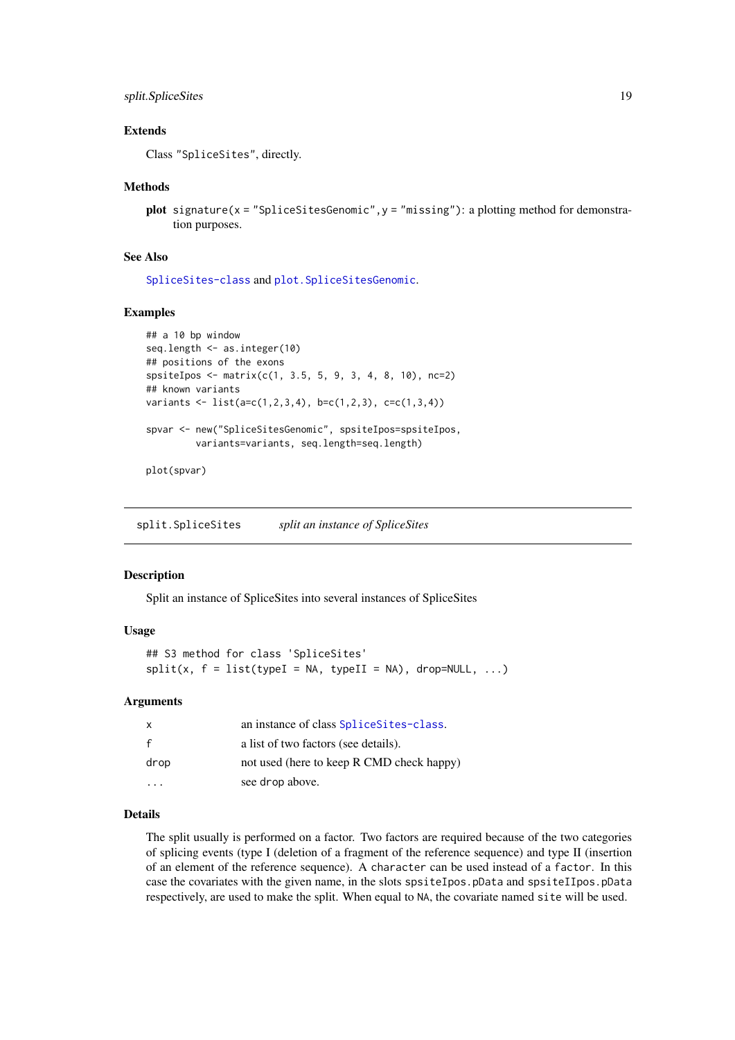#### <span id="page-18-0"></span>split.SpliceSites 19

#### Extends

Class "SpliceSites", directly.

#### Methods

plot signature( $x =$  "SpliceSitesGenomic",  $y =$  "missing"): a plotting method for demonstration purposes.

#### See Also

[SpliceSites-class](#page-16-1) and [plot.SpliceSitesGenomic](#page-11-1).

#### Examples

```
## a 10 bp window
seq.length <- as.integer(10)
## positions of the exons
spsiteIpos <- matrix(c(1, 3.5, 5, 9, 3, 4, 8, 10), nc=2)
## known variants
variants <- list(a=c(1,2,3,4), b=c(1,2,3), c=c(1,3,4))
spvar <- new("SpliceSitesGenomic", spsiteIpos=spsiteIpos,
         variants=variants, seq.length=seq.length)
```
plot(spvar)

split.SpliceSites *split an instance of SpliceSites*

#### Description

Split an instance of SpliceSites into several instances of SpliceSites

#### Usage

```
## S3 method for class 'SpliceSites'
split(x, f = list(typel = NA, typeII = NA), drop=NULL, ...)
```
#### Arguments

| $\mathsf{X}$ | an instance of class SpliceSites-class.   |
|--------------|-------------------------------------------|
|              | a list of two factors (see details).      |
| drop         | not used (here to keep R CMD check happy) |
|              | see drop above.                           |

#### Details

The split usually is performed on a factor. Two factors are required because of the two categories of splicing events (type I (deletion of a fragment of the reference sequence) and type II (insertion of an element of the reference sequence). A character can be used instead of a factor. In this case the covariates with the given name, in the slots spsiteIpos.pData and spsiteIIpos.pData respectively, are used to make the split. When equal to NA, the covariate named site will be used.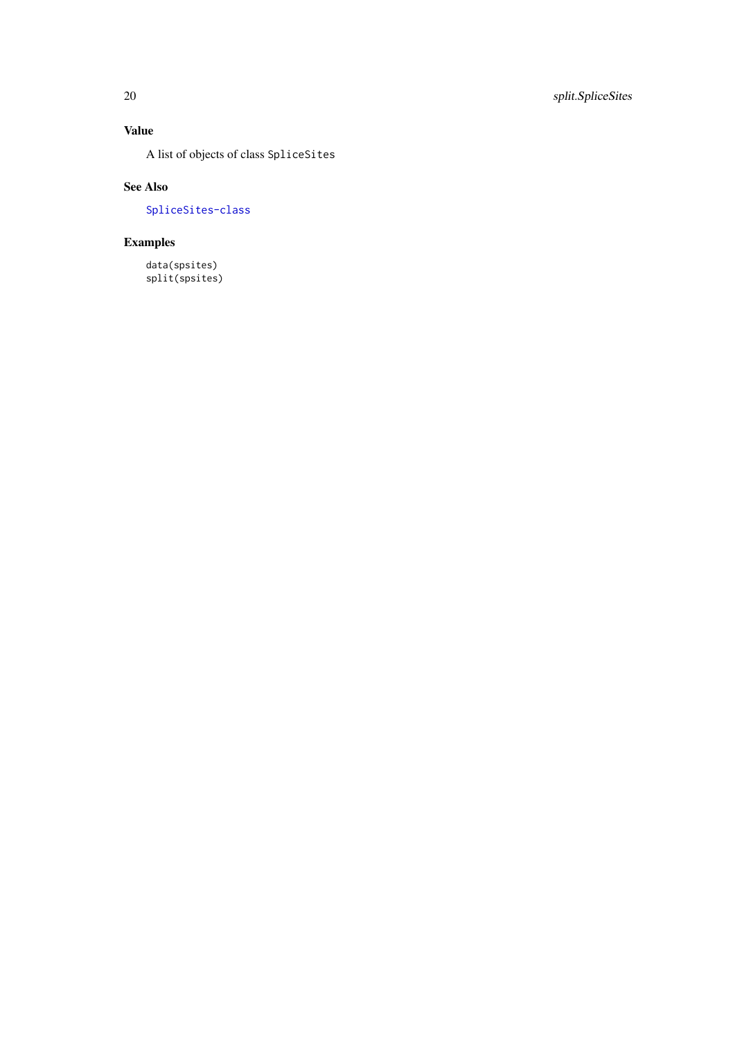# Value

A list of objects of class SpliceSites

# See Also

[SpliceSites-class](#page-16-1)

# Examples

data(spsites) split(spsites)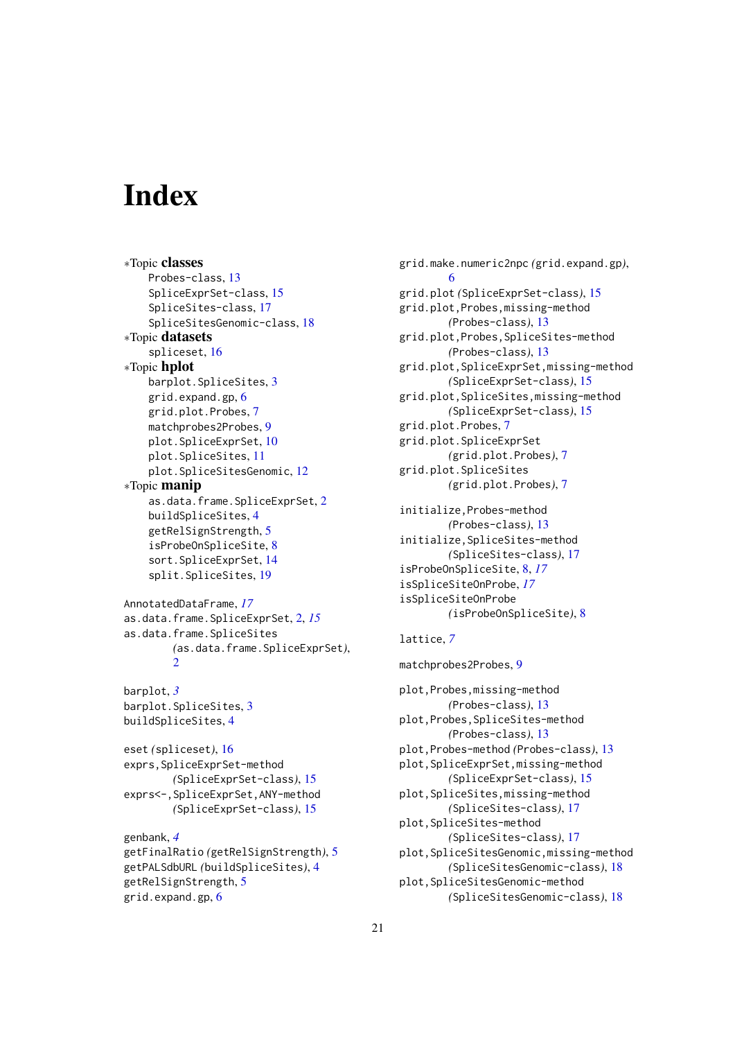# <span id="page-20-0"></span>Index

∗Topic classes Probes-class, [13](#page-12-0) SpliceExprSet-class, [15](#page-14-0) SpliceSites-class, [17](#page-16-0) SpliceSitesGenomic-class, [18](#page-17-0) ∗Topic datasets spliceset, [16](#page-15-0) ∗Topic hplot barplot.SpliceSites, [3](#page-2-0) grid.expand.gp, [6](#page-5-0) grid.plot.Probes, [7](#page-6-0) matchprobes2Probes, [9](#page-8-0) plot.SpliceExprSet, [10](#page-9-0) plot.SpliceSites, [11](#page-10-0) plot.SpliceSitesGenomic, [12](#page-11-0) ∗Topic manip as.data.frame.SpliceExprSet, [2](#page-1-0) buildSpliceSites, [4](#page-3-0) getRelSignStrength, [5](#page-4-0) isProbeOnSpliceSite, [8](#page-7-0) sort.SpliceExprSet, [14](#page-13-0) split.SpliceSites, [19](#page-18-0) AnnotatedDataFrame, *[17](#page-16-0)* as.data.frame.SpliceExprSet, [2,](#page-1-0) *[15](#page-14-0)* as.data.frame.SpliceSites *(*as.data.frame.SpliceExprSet*)*, [2](#page-1-0) barplot, *[3](#page-2-0)* barplot.SpliceSites, [3](#page-2-0) buildSpliceSites, [4](#page-3-0) eset *(*spliceset*)*, [16](#page-15-0) exprs,SpliceExprSet-method *(*SpliceExprSet-class*)*, [15](#page-14-0) exprs<-,SpliceExprSet,ANY-method *(*SpliceExprSet-class*)*, [15](#page-14-0)

```
genbank, 4
getFinalRatio (getRelSignStrength), 5
getPALSdbURL (buildSpliceSites), 4
getRelSignStrength, 5
grid.expand.gp, 6
```
grid.make.numeric2npc *(*grid.expand.gp*)*, [6](#page-5-0) grid.plot *(*SpliceExprSet-class*)*, [15](#page-14-0) grid.plot,Probes,missing-method *(*Probes-class*)*, [13](#page-12-0) grid.plot,Probes,SpliceSites-method *(*Probes-class*)*, [13](#page-12-0) grid.plot,SpliceExprSet,missing-method *(*SpliceExprSet-class*)*, [15](#page-14-0) grid.plot,SpliceSites,missing-method *(*SpliceExprSet-class*)*, [15](#page-14-0) grid.plot.Probes, [7](#page-6-0) grid.plot.SpliceExprSet *(*grid.plot.Probes*)*, [7](#page-6-0) grid.plot.SpliceSites *(*grid.plot.Probes*)*, [7](#page-6-0) initialize,Probes-method *(*Probes-class*)*, [13](#page-12-0) initialize,SpliceSites-method *(*SpliceSites-class*)*, [17](#page-16-0) isProbeOnSpliceSite, [8,](#page-7-0) *[17](#page-16-0)* isSpliceSiteOnProbe, *[17](#page-16-0)*

#### lattice, *[7](#page-6-0)*

isSpliceSiteOnProbe

matchprobes2Probes, [9](#page-8-0) plot,Probes,missing-method *(*Probes-class*)*, [13](#page-12-0) plot,Probes,SpliceSites-method *(*Probes-class*)*, [13](#page-12-0) plot,Probes-method *(*Probes-class*)*, [13](#page-12-0) plot,SpliceExprSet,missing-method *(*SpliceExprSet-class*)*, [15](#page-14-0) plot,SpliceSites,missing-method *(*SpliceSites-class*)*, [17](#page-16-0) plot,SpliceSites-method *(*SpliceSites-class*)*, [17](#page-16-0) plot,SpliceSitesGenomic,missing-method *(*SpliceSitesGenomic-class*)*, [18](#page-17-0) plot,SpliceSitesGenomic-method *(*SpliceSitesGenomic-class*)*, [18](#page-17-0)

*(*isProbeOnSpliceSite*)*, [8](#page-7-0)